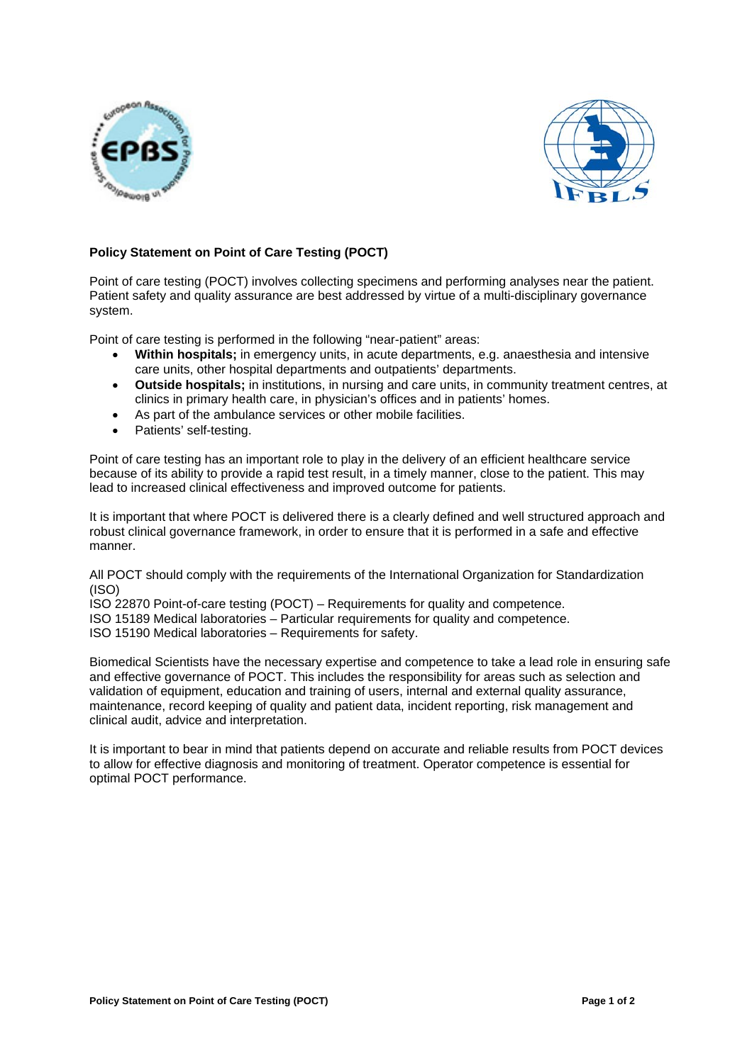



# **Policy Statement on Point of Care Testing (POCT)**

Point of care testing (POCT) involves collecting specimens and performing analyses near the patient. Patient safety and quality assurance are best addressed by virtue of a multi-disciplinary governance system.

Point of care testing is performed in the following "near-patient" areas:

- **Within hospitals;** in emergency units, in acute departments, e.g. anaesthesia and intensive care units, other hospital departments and outpatients' departments.
- **Outside hospitals;** in institutions, in nursing and care units, in community treatment centres, at clinics in primary health care, in physician's offices and in patients' homes.
- As part of the ambulance services or other mobile facilities.
- Patients' self-testing.

Point of care testing has an important role to play in the delivery of an efficient healthcare service because of its ability to provide a rapid test result, in a timely manner, close to the patient. This may lead to increased clinical effectiveness and improved outcome for patients.

It is important that where POCT is delivered there is a clearly defined and well structured approach and robust clinical governance framework, in order to ensure that it is performed in a safe and effective manner.

All POCT should comply with the requirements of the International Organization for Standardization (ISO)

ISO 22870 Point-of-care testing (POCT) – Requirements for quality and competence.

ISO 15189 Medical laboratories – Particular requirements for quality and competence.

ISO 15190 Medical laboratories – Requirements for safety.

Biomedical Scientists have the necessary expertise and competence to take a lead role in ensuring safe and effective governance of POCT. This includes the responsibility for areas such as selection and validation of equipment, education and training of users, internal and external quality assurance, maintenance, record keeping of quality and patient data, incident reporting, risk management and clinical audit, advice and interpretation.

It is important to bear in mind that patients depend on accurate and reliable results from POCT devices to allow for effective diagnosis and monitoring of treatment. Operator competence is essential for optimal POCT performance.